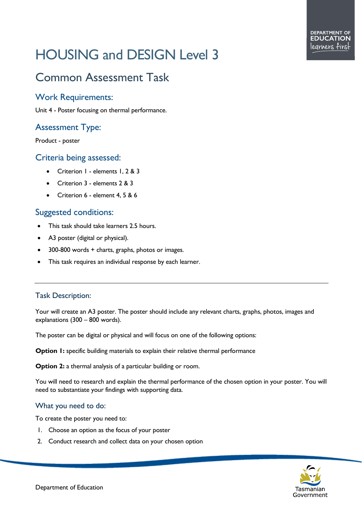# HOUSING and DESIGN Level 3

# Common Assessment Task

## Work Requirements:

Unit 4 - Poster focusing on thermal performance.

# Assessment Type:

Product - poster

#### Criteria being assessed:

- Criterion 1 elements 1, 2 & 3
- Criterion 3 elements 2 & 3
- Criterion 6 element 4, 5 & 6

### Suggested conditions:

- This task should take learners 2.5 hours.
- A3 poster (digital or physical).
- 300-800 words + charts, graphs, photos or images.
- This task requires an individual response by each learner.

#### Task Description:

Your will create an A3 poster. The poster should include any relevant charts, graphs, photos, images and explanations (300 – 800 words).

The poster can be digital or physical and will focus on one of the following options:

**Option 1:** specific building materials to explain their relative thermal performance

**Option 2:** a thermal analysis of a particular building or room.

You will need to research and explain the thermal performance of the chosen option in your poster. You will need to substantiate your findings with supporting data.

#### What you need to do:

To create the poster you need to:

- 1. Choose an option as the focus of your poster
- 2. Conduct research and collect data on your chosen option